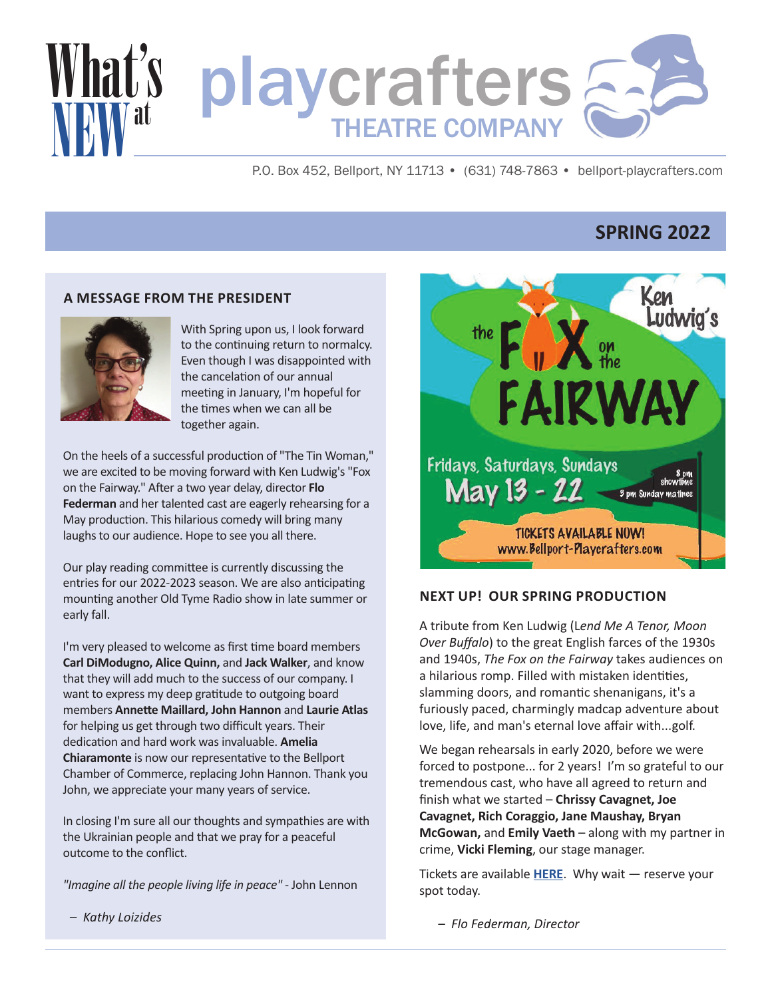

P.O. Box 452, Bellport, NY 11713 • (631) 748-7863 • bellport-playcrafters.com

# **SPRING 2022**

### **A MESSAGE FROM THE PRESIDENT**



With Spring upon us, I look forward to the continuing return to normalcy. Even though I was disappointed with the cancelation of our annual meeting in January, I'm hopeful for the times when we can all be together again.

On the heels of a successful production of "The Tin Woman," we are excited to be moving forward with Ken Ludwig's "Fox on the Fairway." After a two year delay, director **Flo Federman** and her talented cast are eagerly rehearsing for a May production. This hilarious comedy will bring many laughs to our audience. Hope to see you all there.

Our play reading committee is currently discussing the entries for our 2022-2023 season. We are also anticipating mounting another Old Tyme Radio show in late summer or early fall.

I'm very pleased to welcome as first time board members **Carl DiModugno, Alice Quinn,** and **Jack Walker**, and know that they will add much to the success of our company. I want to express my deep gratitude to outgoing board members **Annette Maillard, John Hannon** and **Laurie Atlas** for helping us get through two difficult years. Their dedication and hard work was invaluable. **Amelia Chiaramonte** is now our representative to the Bellport Chamber of Commerce, replacing John Hannon. Thank you John, we appreciate your many years of service.

In closing I'm sure all our thoughts and sympathies are with the Ukrainian people and that we pray for a peaceful outcome to the conflict.

*"Imagine all the people living life in peace"*  John Lennon

Ludwig's F.X. FAIRWAY Fridays, Saturdays, Sundays  $May 13 - 22$   $<sup>3</sup>pm$  Sunday matthree</sup> **TICKETS AVAILABLE NOW!** www.Bellport-Playerafters.com

### **NEXT UP! OUR SPRING PRODUCTION**

A tribute from Ken Ludwig (L*end Me A Tenor, Moon Over Buffalo*) to the great English farces of the 1930s and 1940s, *The Fox on the Fairway* takes audiences on a hilarious romp. Filled with mistaken identities, slamming doors, and romantic shenanigans, it's a furiously paced, charmingly madcap adventure about love, life, and man's eternal love affair with...golf.

We began rehearsals in early 2020, before we were forced to postpone... for 2 years! I'm so grateful to our tremendous cast, who have all agreed to return and finish what we started – **Chrissy Cavagnet, Joe Cavagnet, Rich Coraggio, Jane Maushay, Bryan McGowan,** and **Emily Vaeth** – along with my partner in crime, **Vicki Fleming**, our stage manager.

Tickets are available **[HERE](https://bellport-playcrafters.com/)**. Why wait — reserve your spot today.

*– Kathy Loizides*

*– Flo Federman, Director*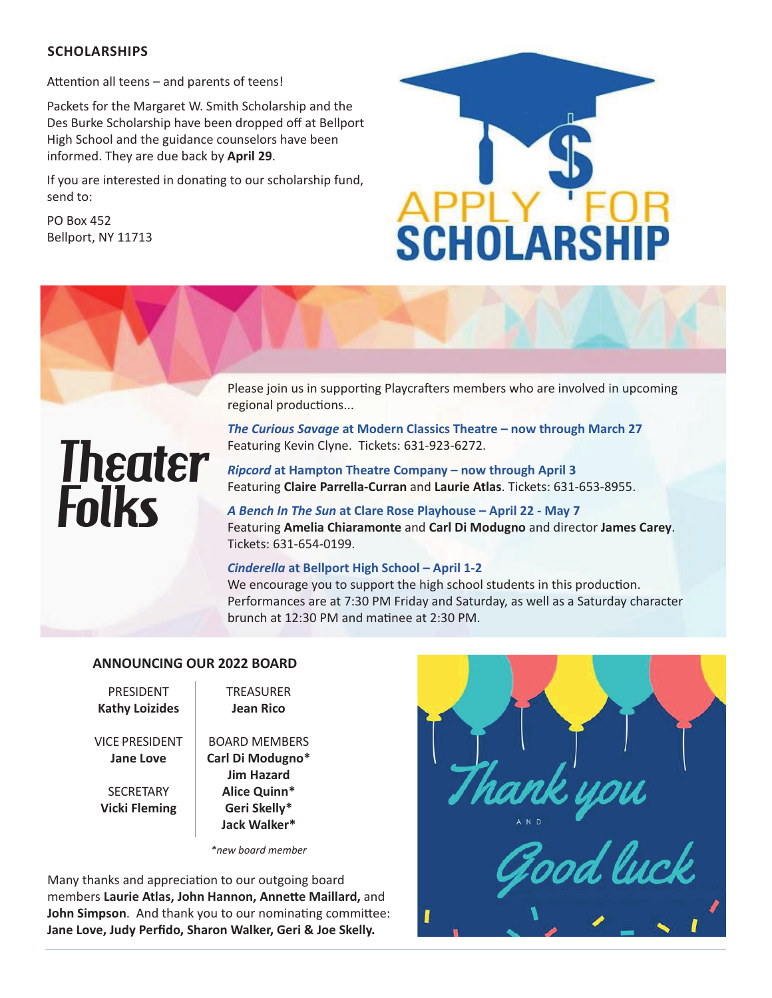## **SCHOLARSHIPS**

Attention all teens – and parents of teens!

Packets for the Margaret W. Smith Scholarship and the Des Burke Scholarship have been dropped off at Bellport High School and the guidance counselors have been informed. They are due back by **April 29**.

If you are interested in donating to our scholarship fund, send to:

PO Box 452 Bellport, NY 11713



Please join us in supporting Playcrafters members who are involved in upcoming regional productions...

# **Theater Folks**

Featuring Kevin Clyne. Tickets: 631-923-6272. *Ripcord* **at Hampton Theatre Company – now through April 3**

*The Curious Savage* **at Modern Classics Theatre – now through March 27**

Featuring **Claire Parrella-Curran** and Laurie Atlas. Tickets: 631-653-8955.

*A Bench In The Sun* **at Clare Rose Playhouse – April 22 May 7** Featuring **Amelia Chiaramonte** and **Carl Di Modugno** and director **James Carey**. Tickets: 631-654-0199.

### *Cinderella* **at Bellport High School – April 12**

We encourage you to support the high school students in this production. Performances are at 7:30 PM Friday and Saturday, as well as a Saturday character brunch at 12:30 PM and matinee at 2:30 PM.

## **ANNOUNCING OUR 2022 BOARD**

PRESIDENT **Kathy Loizides**

VICE PRESIDENT **Jane Love**

**SECRETARY Vicki Fleming**

**Jean Rico** BOARD MEMBERS **Carl Di Modugno\* Jim Hazard**

TREASURER

**Alice Quinn\* Geri Skelly\* Jack Walker\***

*\*new board member*

Many thanks and appreciation to our outgoing board members **Laurie Atlas, John Hannon, Annette Maillard,** and **John Simpson**. And thank you to our nominating committee: **Jane Love, Judy Perfido, Sharon Walker, Geri & Joe Skelly.**